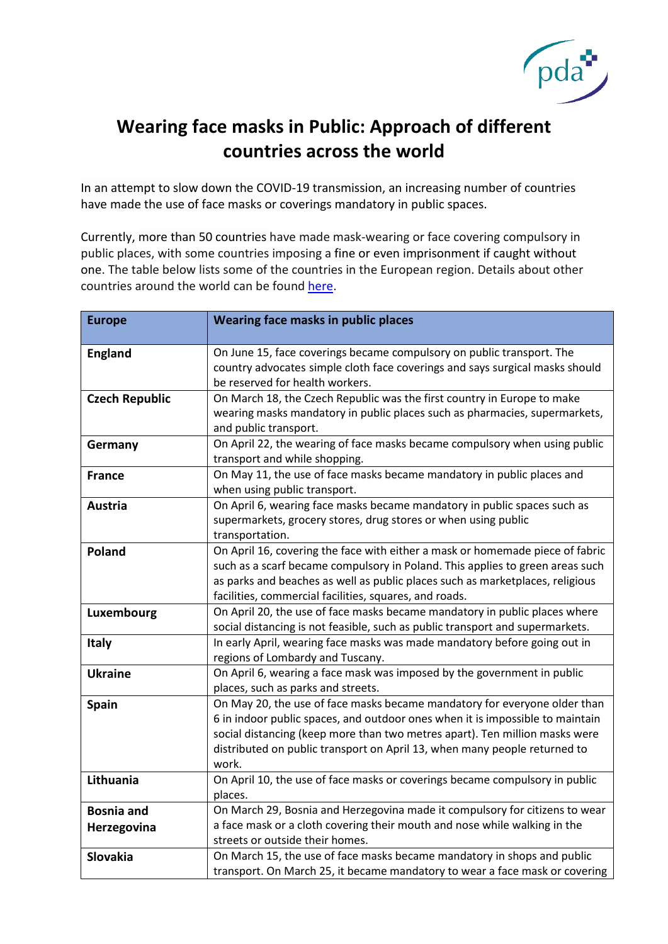

## **Wearing face masks in Public: Approach of different countries across the world**

In an attempt to slow down the COVID-19 transmission, an increasing number of countries have made the use of face masks or coverings mandatory in public spaces.

Currently, more than 50 countries have made mask-wearing or face covering compulsory in public places, with some countries imposing a fine or even imprisonment if caught without one. The table below lists some of the countries in the European region. Details about other countries around the world can be found [here.](https://www.the-pda.org/wp-content/uploads/002-Face-masks-Global-Iman-V2.pdf)

| <b>Europe</b>         | Wearing face masks in public places                                                                                                                         |
|-----------------------|-------------------------------------------------------------------------------------------------------------------------------------------------------------|
|                       |                                                                                                                                                             |
| <b>England</b>        | On June 15, face coverings became compulsory on public transport. The                                                                                       |
|                       | country advocates simple cloth face coverings and says surgical masks should                                                                                |
|                       | be reserved for health workers.                                                                                                                             |
| <b>Czech Republic</b> | On March 18, the Czech Republic was the first country in Europe to make                                                                                     |
|                       | wearing masks mandatory in public places such as pharmacies, supermarkets,                                                                                  |
|                       | and public transport.                                                                                                                                       |
| Germany               | On April 22, the wearing of face masks became compulsory when using public                                                                                  |
|                       | transport and while shopping.                                                                                                                               |
| <b>France</b>         | On May 11, the use of face masks became mandatory in public places and                                                                                      |
|                       | when using public transport.                                                                                                                                |
| <b>Austria</b>        | On April 6, wearing face masks became mandatory in public spaces such as                                                                                    |
|                       | supermarkets, grocery stores, drug stores or when using public                                                                                              |
|                       | transportation.                                                                                                                                             |
| Poland                | On April 16, covering the face with either a mask or homemade piece of fabric                                                                               |
|                       | such as a scarf became compulsory in Poland. This applies to green areas such                                                                               |
|                       | as parks and beaches as well as public places such as marketplaces, religious                                                                               |
|                       | facilities, commercial facilities, squares, and roads.                                                                                                      |
| Luxembourg            | On April 20, the use of face masks became mandatory in public places where<br>social distancing is not feasible, such as public transport and supermarkets. |
|                       | In early April, wearing face masks was made mandatory before going out in                                                                                   |
| <b>Italy</b>          | regions of Lombardy and Tuscany.                                                                                                                            |
| <b>Ukraine</b>        | On April 6, wearing a face mask was imposed by the government in public                                                                                     |
|                       | places, such as parks and streets.                                                                                                                          |
| <b>Spain</b>          | On May 20, the use of face masks became mandatory for everyone older than                                                                                   |
|                       | 6 in indoor public spaces, and outdoor ones when it is impossible to maintain                                                                               |
|                       | social distancing (keep more than two metres apart). Ten million masks were                                                                                 |
|                       | distributed on public transport on April 13, when many people returned to                                                                                   |
|                       | work.                                                                                                                                                       |
| Lithuania             | On April 10, the use of face masks or coverings became compulsory in public                                                                                 |
|                       | places.                                                                                                                                                     |
| <b>Bosnia and</b>     | On March 29, Bosnia and Herzegovina made it compulsory for citizens to wear                                                                                 |
| Herzegovina           | a face mask or a cloth covering their mouth and nose while walking in the                                                                                   |
|                       | streets or outside their homes.                                                                                                                             |
| Slovakia              | On March 15, the use of face masks became mandatory in shops and public                                                                                     |
|                       | transport. On March 25, it became mandatory to wear a face mask or covering                                                                                 |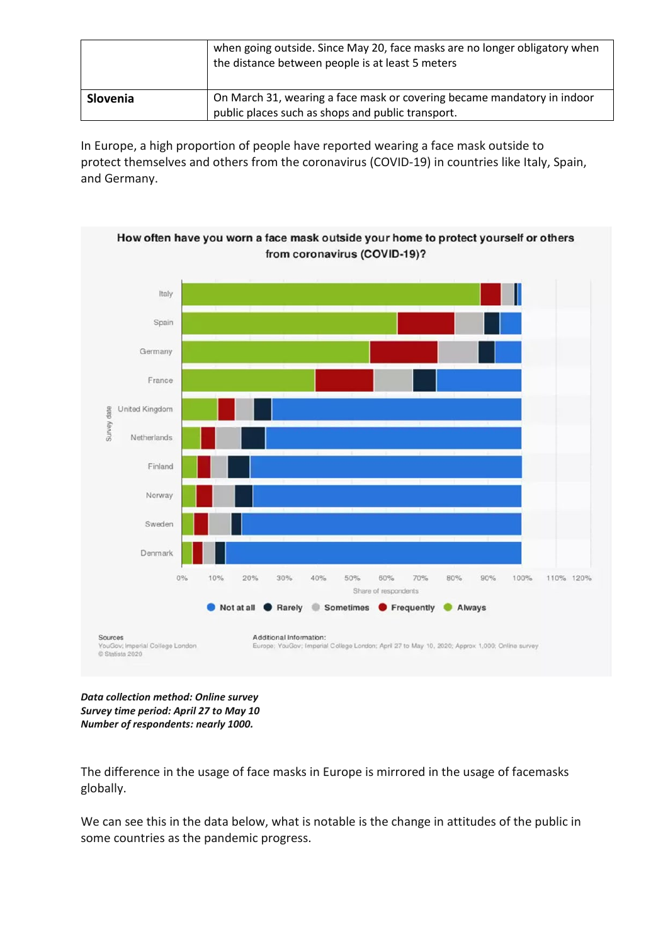|          | when going outside. Since May 20, face masks are no longer obligatory when<br>the distance between people is at least 5 meters |
|----------|--------------------------------------------------------------------------------------------------------------------------------|
| Slovenia | On March 31, wearing a face mask or covering became mandatory in indoor<br>public places such as shops and public transport.   |

In Europe, a high proportion of people have reported wearing a face mask outside to protect themselves and others from the coronavirus (COVID-19) in countries like Italy, Spain, and Germany.



*Data collection method: Online survey Survey time period: April 27 to May 10 Number of respondents: nearly 1000.*

The difference in the usage of face masks in Europe is mirrored in the usage of facemasks globally.

We can see this in the data below, what is notable is the change in attitudes of the public in some countries as the pandemic progress.